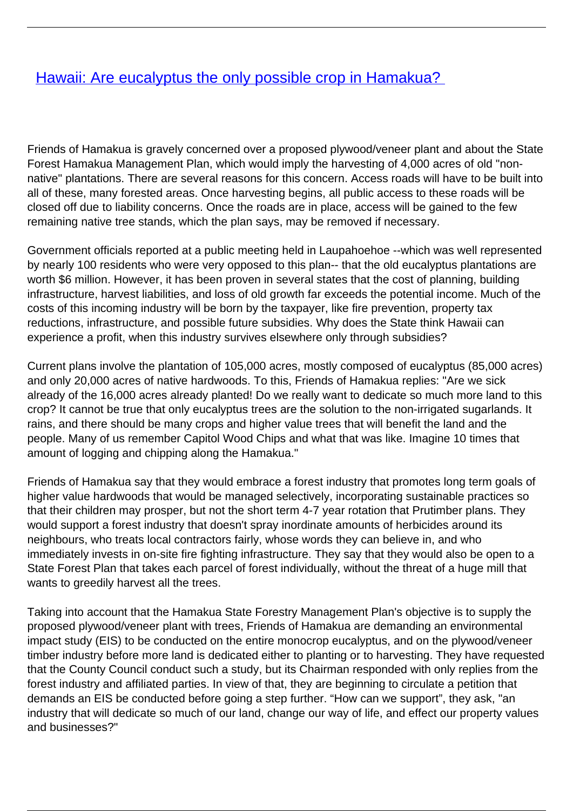## **[Hawaii: Are eucalyptus the only possible crop in Hamakua?](/bulletin-articles/hawaii-are-eucalyptus-the-only-possible-crop-in-hamakua)**

Friends of Hamakua is gravely concerned over a proposed plywood/veneer plant and about the State Forest Hamakua Management Plan, which would imply the harvesting of 4,000 acres of old "nonnative" plantations. There are several reasons for this concern. Access roads will have to be built into all of these, many forested areas. Once harvesting begins, all public access to these roads will be closed off due to liability concerns. Once the roads are in place, access will be gained to the few remaining native tree stands, which the plan says, may be removed if necessary.

Government officials reported at a public meeting held in Laupahoehoe --which was well represented by nearly 100 residents who were very opposed to this plan-- that the old eucalyptus plantations are worth \$6 million. However, it has been proven in several states that the cost of planning, building infrastructure, harvest liabilities, and loss of old growth far exceeds the potential income. Much of the costs of this incoming industry will be born by the taxpayer, like fire prevention, property tax reductions, infrastructure, and possible future subsidies. Why does the State think Hawaii can experience a profit, when this industry survives elsewhere only through subsidies?

Current plans involve the plantation of 105,000 acres, mostly composed of eucalyptus (85,000 acres) and only 20,000 acres of native hardwoods. To this, Friends of Hamakua replies: "Are we sick already of the 16,000 acres already planted! Do we really want to dedicate so much more land to this crop? It cannot be true that only eucalyptus trees are the solution to the non-irrigated sugarlands. It rains, and there should be many crops and higher value trees that will benefit the land and the people. Many of us remember Capitol Wood Chips and what that was like. Imagine 10 times that amount of logging and chipping along the Hamakua."

Friends of Hamakua say that they would embrace a forest industry that promotes long term goals of higher value hardwoods that would be managed selectively, incorporating sustainable practices so that their children may prosper, but not the short term 4-7 year rotation that Prutimber plans. They would support a forest industry that doesn't spray inordinate amounts of herbicides around its neighbours, who treats local contractors fairly, whose words they can believe in, and who immediately invests in on-site fire fighting infrastructure. They say that they would also be open to a State Forest Plan that takes each parcel of forest individually, without the threat of a huge mill that wants to greedily harvest all the trees.

Taking into account that the Hamakua State Forestry Management Plan's objective is to supply the proposed plywood/veneer plant with trees, Friends of Hamakua are demanding an environmental impact study (EIS) to be conducted on the entire monocrop eucalyptus, and on the plywood/veneer timber industry before more land is dedicated either to planting or to harvesting. They have requested that the County Council conduct such a study, but its Chairman responded with only replies from the forest industry and affiliated parties. In view of that, they are beginning to circulate a petition that demands an EIS be conducted before going a step further. "How can we support", they ask, "an industry that will dedicate so much of our land, change our way of life, and effect our property values and businesses?"